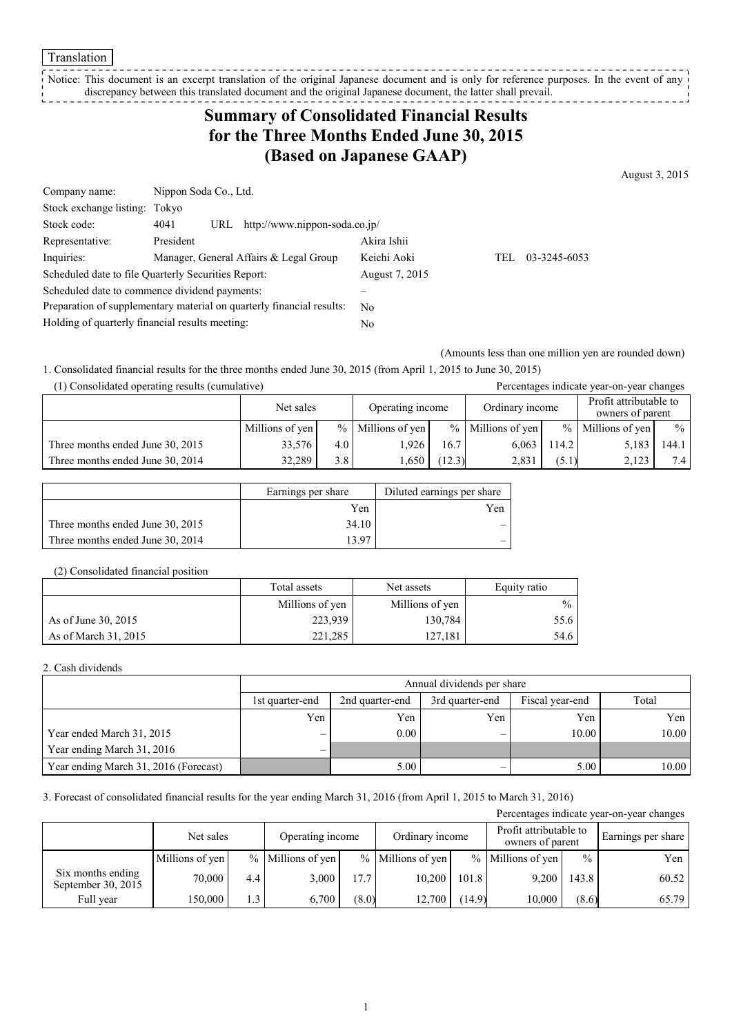Translation

Notice: This document is an excerpt translation of the original Japanese document and is only for reference purposes. In the event of any discrepancy between this translated document and the original Japanese document, the latter shall prevail. 

# **Summary of Consolidated Financial Results for the Three Months Ended June 30, 2015 (Based on Japanese GAAP)**

August 3, 2015

| Company name:                                                         | Nippon Soda Co., Ltd. |                                        |             |      |              |
|-----------------------------------------------------------------------|-----------------------|----------------------------------------|-------------|------|--------------|
| Stock exchange listing: Tokyo                                         |                       |                                        |             |      |              |
| Stock code:                                                           | 4041<br>URL           | http://www.nippon-soda.co.jp/          |             |      |              |
| Representative:                                                       | President             |                                        | Akira Ishii |      |              |
| Inquiries:                                                            |                       | Manager, General Affairs & Legal Group | Keichi Aoki | TEL. | 03-3245-6053 |
| Scheduled date to file Quarterly Securities Report:                   |                       | August 7, 2015                         |             |      |              |
| Scheduled date to commence dividend payments:                         |                       |                                        |             |      |              |
| Preparation of supplementary material on quarterly financial results: |                       | No                                     |             |      |              |
| Holding of quarterly financial results meeting:                       |                       | No                                     |             |      |              |

(Amounts less than one million yen are rounded down)

1. Consolidated financial results for the three months ended June 30, 2015 (from April 1, 2015 to June 30, 2015)

| (1) Consolidated operating results (cumulative) |                 |                  |                  |        |                     |       | Percentages indicate year-on-year changes  |               |
|-------------------------------------------------|-----------------|------------------|------------------|--------|---------------------|-------|--------------------------------------------|---------------|
|                                                 | Net sales       |                  | Operating income |        | Ordinary income     |       | Profit attributable to<br>owners of parent |               |
|                                                 | Millions of yen | $\frac{0}{0}$    | Millions of yen  |        | $%$ Millions of yen |       | $%$ Millions of yen                        | $\frac{0}{0}$ |
| Three months ended June 30, 2015                | 33,576          | 4.0              | 1.926            | 16.7   | 6.063               | 114.2 | 5,183                                      | 144.1         |
| Three months ended June 30, 2014                | 32.289          | 3.8 <sub>1</sub> | 1.650            | (12.3) | 2.831               | (5.1) | 2,123                                      | 7.4           |

|                                  | Earnings per share | Diluted earnings per share |
|----------------------------------|--------------------|----------------------------|
|                                  | Yen                | Yen                        |
| Three months ended June 30, 2015 | 34.10              |                            |
| Three months ended June 30, 2014 | 13.97              |                            |

#### (2) Consolidated financial position

|                      | Total assets    | Net assets      | Equity ratio  |
|----------------------|-----------------|-----------------|---------------|
|                      | Millions of yen | Millions of yen | $\frac{0}{0}$ |
| As of June 30, 2015  | 223,939         | 130,784         | 55.6          |
| As of March 31, 2015 | 221.285         | 127.181         | 54.6          |

#### 2. Cash dividends

|                                       | Annual dividends per share |                                                       |     |       |       |  |  |  |
|---------------------------------------|----------------------------|-------------------------------------------------------|-----|-------|-------|--|--|--|
|                                       | 1st quarter-end            | Fiscal year-end<br>2nd quarter-end<br>3rd quarter-end |     |       |       |  |  |  |
|                                       | Yen                        | Yen                                                   | Yen | Yen   | Yen   |  |  |  |
| Year ended March 31, 2015             |                            | 0.00                                                  |     | 10.00 | 10.00 |  |  |  |
| Year ending March 31, 2016            |                            |                                                       |     |       |       |  |  |  |
| Year ending March 31, 2016 (Forecast) |                            | 5.00                                                  |     | 5.00  | 10.00 |  |  |  |

### 3. Forecast of consolidated financial results for the year ending March 31, 2016 (from April 1, 2015 to March 31, 2016)

| Percentages indicate year-on-year changes |                 |     |                   |       |                     |       |                   |               |                                            |  |                    |
|-------------------------------------------|-----------------|-----|-------------------|-------|---------------------|-------|-------------------|---------------|--------------------------------------------|--|--------------------|
|                                           | Net sales       |     | Operating income  |       |                     |       | Ordinary income   |               | Profit attributable to<br>owners of parent |  | Earnings per share |
|                                           | Millions of yen |     | % Millions of yen |       | $%$ Millions of yen |       | % Millions of yen | $\frac{0}{0}$ | Yen                                        |  |                    |
| Six months ending<br>September 30, $2015$ | 70.000          | 4.4 | 3,000             | 17.7  | 10.200              | 101.8 | 9,200             | 143.8         | 60.52                                      |  |                    |
| Full year                                 | 150.000         | 1.3 | 6.700             | (8.0) | 12.700              | 14.9) | 10.000            | (8.6)         | 65.79                                      |  |                    |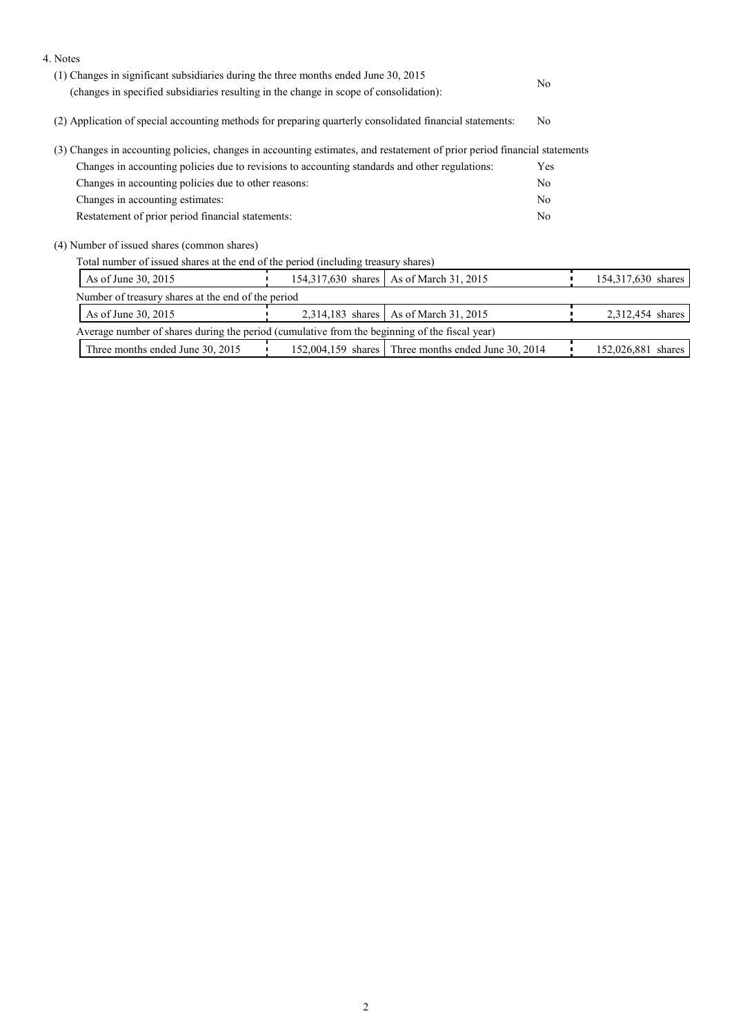| 4. Notes                                                                                                                  |                                                                                        |                                                     |     |                    |
|---------------------------------------------------------------------------------------------------------------------------|----------------------------------------------------------------------------------------|-----------------------------------------------------|-----|--------------------|
| (1) Changes in significant subsidiaries during the three months ended June 30, 2015                                       |                                                                                        |                                                     | No. |                    |
|                                                                                                                           | (changes in specified subsidiaries resulting in the change in scope of consolidation): |                                                     |     |                    |
| (2) Application of special accounting methods for preparing quarterly consolidated financial statements:                  | N <sub>0</sub>                                                                         |                                                     |     |                    |
| (3) Changes in accounting policies, changes in accounting estimates, and restatement of prior period financial statements |                                                                                        |                                                     |     |                    |
| Changes in accounting policies due to revisions to accounting standards and other regulations:                            |                                                                                        |                                                     | Yes |                    |
| Changes in accounting policies due to other reasons:                                                                      |                                                                                        |                                                     |     |                    |
| Changes in accounting estimates:                                                                                          |                                                                                        |                                                     |     |                    |
| Restatement of prior period financial statements:                                                                         |                                                                                        |                                                     |     |                    |
| (4) Number of issued shares (common shares)                                                                               |                                                                                        |                                                     |     |                    |
| Total number of issued shares at the end of the period (including treasury shares)                                        |                                                                                        |                                                     |     |                    |
| As of June 30, 2015                                                                                                       |                                                                                        | 154,317,630 shares   As of March 31, 2015           |     | 154,317,630 shares |
| Number of treasury shares at the end of the period                                                                        |                                                                                        |                                                     |     |                    |
| 2,314,183 shares   As of March 31, 2015<br>As of June 30, 2015                                                            |                                                                                        |                                                     |     | 2,312,454 shares   |
| Average number of shares during the period (cumulative from the beginning of the fiscal year)                             |                                                                                        |                                                     |     |                    |
| Three months ended June 30, 2015                                                                                          |                                                                                        | 152,004,159 shares Three months ended June 30, 2014 |     | 152,026,881 shares |
|                                                                                                                           |                                                                                        |                                                     |     |                    |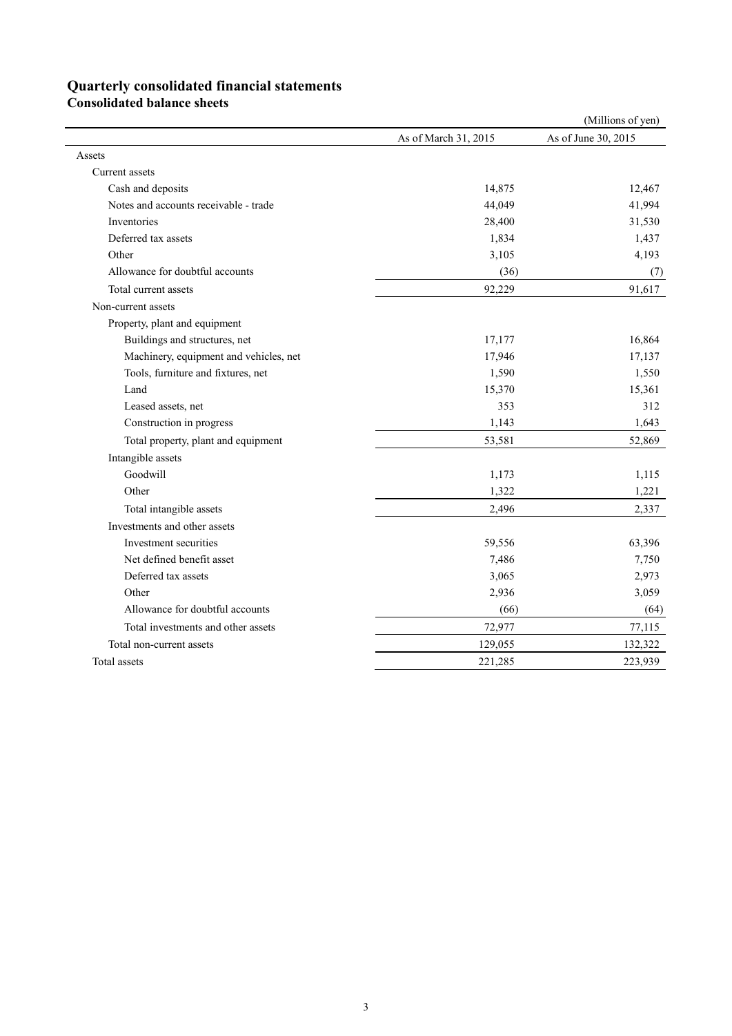# **Quarterly consolidated financial statements**

**Consolidated balance sheets** 

|                                        |                      | (Millions of yen)   |
|----------------------------------------|----------------------|---------------------|
|                                        | As of March 31, 2015 | As of June 30, 2015 |
| Assets                                 |                      |                     |
| Current assets                         |                      |                     |
| Cash and deposits                      | 14,875               | 12,467              |
| Notes and accounts receivable - trade  | 44,049               | 41,994              |
| Inventories                            | 28,400               | 31,530              |
| Deferred tax assets                    | 1,834                | 1,437               |
| Other                                  | 3,105                | 4,193               |
| Allowance for doubtful accounts        | (36)                 | (7)                 |
| Total current assets                   | 92,229               | 91,617              |
| Non-current assets                     |                      |                     |
| Property, plant and equipment          |                      |                     |
| Buildings and structures, net          | 17,177               | 16,864              |
| Machinery, equipment and vehicles, net | 17,946               | 17,137              |
| Tools, furniture and fixtures, net     | 1,590                | 1,550               |
| Land                                   | 15,370               | 15,361              |
| Leased assets, net                     | 353                  | 312                 |
| Construction in progress               | 1,143                | 1,643               |
| Total property, plant and equipment    | 53,581               | 52,869              |
| Intangible assets                      |                      |                     |
| Goodwill                               | 1,173                | 1,115               |
| Other                                  | 1,322                | 1,221               |
| Total intangible assets                | 2,496                | 2,337               |
| Investments and other assets           |                      |                     |
| Investment securities                  | 59,556               | 63,396              |
| Net defined benefit asset              | 7,486                | 7,750               |
| Deferred tax assets                    | 3,065                | 2,973               |
| Other                                  | 2,936                | 3,059               |
| Allowance for doubtful accounts        | (66)                 | (64)                |
| Total investments and other assets     | 72,977               | 77,115              |
| Total non-current assets               | 129,055              | 132,322             |
| Total assets                           | 221,285              | 223,939             |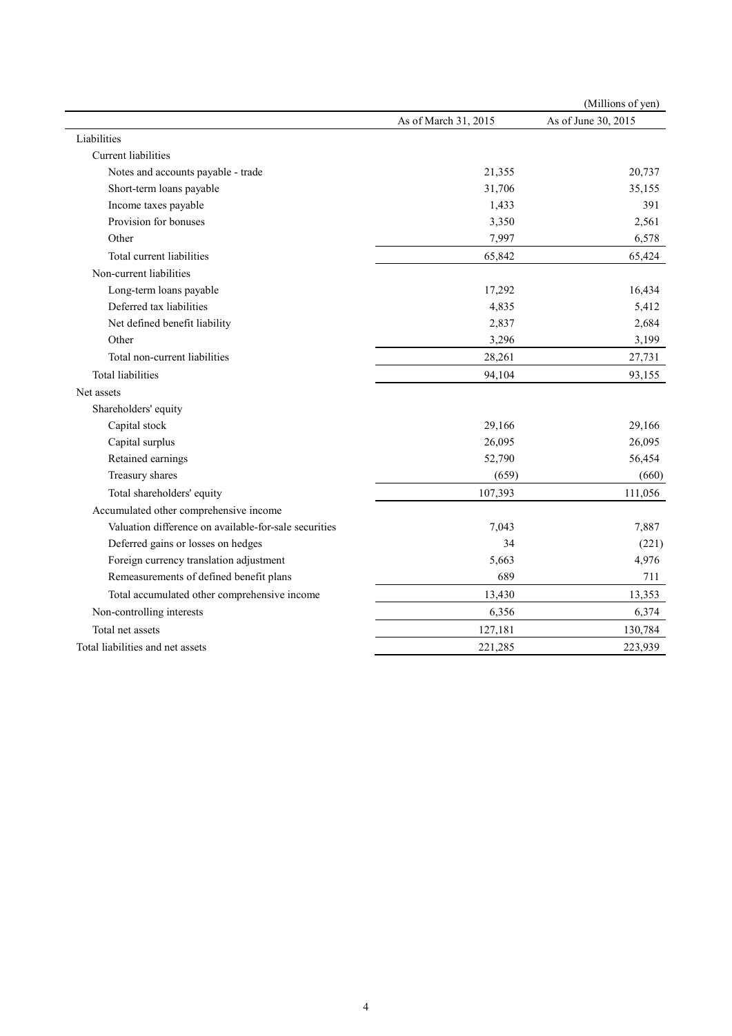|                                                       |                      | (Millions of yen)   |
|-------------------------------------------------------|----------------------|---------------------|
|                                                       | As of March 31, 2015 | As of June 30, 2015 |
| Liabilities                                           |                      |                     |
| Current liabilities                                   |                      |                     |
| Notes and accounts payable - trade                    | 21,355               | 20,737              |
| Short-term loans payable                              | 31,706               | 35,155              |
| Income taxes payable                                  | 1,433                | 391                 |
| Provision for bonuses                                 | 3,350                | 2,561               |
| Other                                                 | 7,997                | 6,578               |
| Total current liabilities                             | 65,842               | 65,424              |
| Non-current liabilities                               |                      |                     |
| Long-term loans payable                               | 17,292               | 16,434              |
| Deferred tax liabilities                              | 4,835                | 5,412               |
| Net defined benefit liability                         | 2,837                | 2,684               |
| Other                                                 | 3,296                | 3,199               |
| Total non-current liabilities                         | 28,261               | 27,731              |
| <b>Total liabilities</b>                              | 94,104               | 93,155              |
| Net assets                                            |                      |                     |
| Shareholders' equity                                  |                      |                     |
| Capital stock                                         | 29,166               | 29,166              |
| Capital surplus                                       | 26,095               | 26,095              |
| Retained earnings                                     | 52,790               | 56,454              |
| Treasury shares                                       | (659)                | (660)               |
| Total shareholders' equity                            | 107,393              | 111,056             |
| Accumulated other comprehensive income                |                      |                     |
| Valuation difference on available-for-sale securities | 7,043                | 7,887               |
| Deferred gains or losses on hedges                    | 34                   | (221)               |
| Foreign currency translation adjustment               | 5,663                | 4,976               |
| Remeasurements of defined benefit plans               | 689                  | 711                 |
| Total accumulated other comprehensive income          | 13,430               | 13,353              |
| Non-controlling interests                             | 6,356                | 6,374               |
| Total net assets                                      | 127,181              | 130,784             |
| Total liabilities and net assets                      | 221,285              | 223,939             |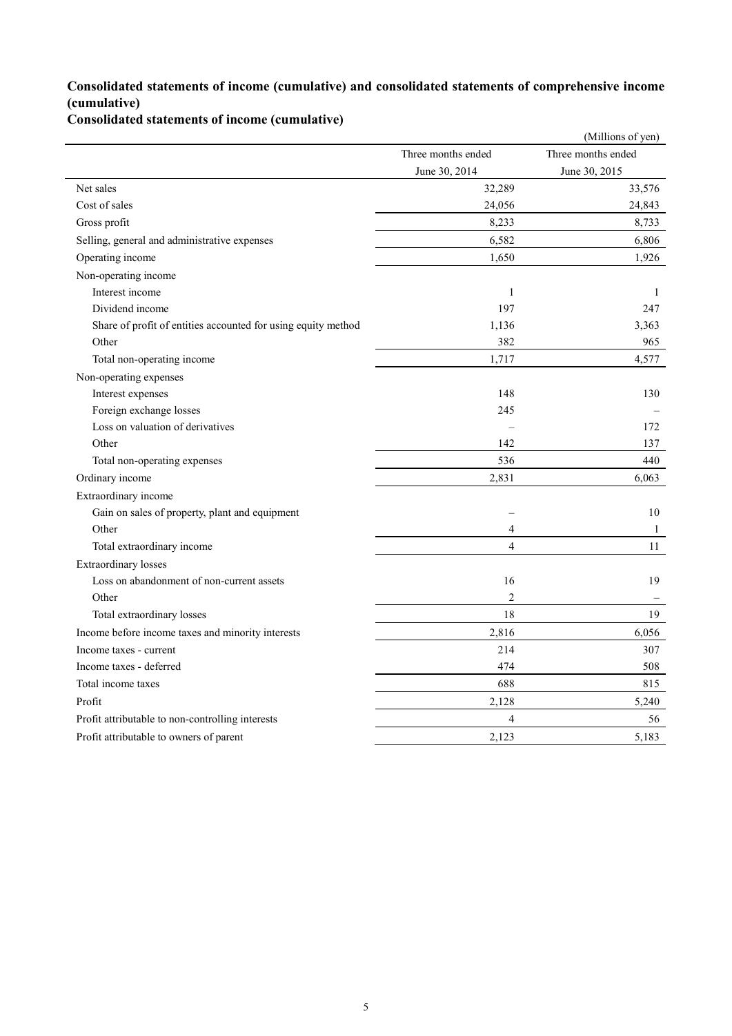### **Consolidated statements of income (cumulative) and consolidated statements of comprehensive income (cumulative)**

**Consolidated statements of income (cumulative)**

|                                                               |                    | (Millions of yen)  |
|---------------------------------------------------------------|--------------------|--------------------|
|                                                               | Three months ended | Three months ended |
|                                                               | June 30, 2014      | June 30, 2015      |
| Net sales                                                     | 32,289             | 33,576             |
| Cost of sales                                                 | 24,056             | 24,843             |
| Gross profit                                                  | 8,233              | 8,733              |
| Selling, general and administrative expenses                  | 6,582              | 6,806              |
| Operating income                                              | 1,650              | 1,926              |
| Non-operating income                                          |                    |                    |
| Interest income                                               | $\mathbf{1}$       | 1                  |
| Dividend income                                               | 197                | 247                |
| Share of profit of entities accounted for using equity method | 1,136              | 3,363              |
| Other                                                         | 382                | 965                |
| Total non-operating income                                    | 1,717              | 4,577              |
| Non-operating expenses                                        |                    |                    |
| Interest expenses                                             | 148                | 130                |
| Foreign exchange losses                                       | 245                |                    |
| Loss on valuation of derivatives                              |                    | 172                |
| Other                                                         | 142                | 137                |
| Total non-operating expenses                                  | 536                | 440                |
| Ordinary income                                               | 2,831              | 6,063              |
| Extraordinary income                                          |                    |                    |
| Gain on sales of property, plant and equipment                |                    | 10                 |
| Other                                                         | $\overline{4}$     | 1                  |
| Total extraordinary income                                    | $\overline{4}$     | 11                 |
| Extraordinary losses                                          |                    |                    |
| Loss on abandonment of non-current assets                     | 16                 | 19                 |
| Other                                                         | $\overline{2}$     |                    |
| Total extraordinary losses                                    | 18                 | 19                 |
| Income before income taxes and minority interests             | 2,816              | 6,056              |
| Income taxes - current                                        | 214                | 307                |
| Income taxes - deferred                                       | 474                | 508                |
| Total income taxes                                            | 688                | 815                |
| Profit                                                        | 2,128              | 5,240              |
| Profit attributable to non-controlling interests              | $\overline{4}$     | 56                 |
| Profit attributable to owners of parent                       | 2,123              | 5,183              |